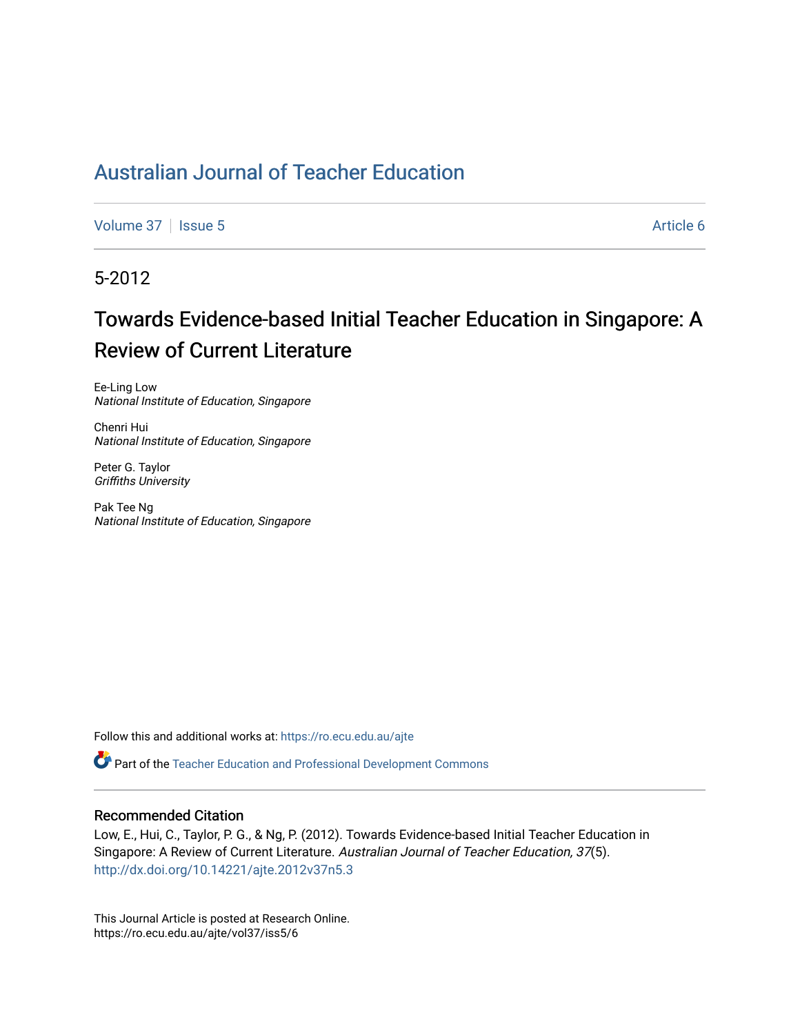## [Australian Journal of Teacher Education](https://ro.ecu.edu.au/ajte)

[Volume 37](https://ro.ecu.edu.au/ajte/vol37) | [Issue 5](https://ro.ecu.edu.au/ajte/vol37/iss5) Article 6

5-2012

# Towards Evidence-based Initial Teacher Education in Singapore: A Review of Current Literature

Ee-Ling Low National Institute of Education, Singapore

Chenri Hui National Institute of Education, Singapore

Peter G. Taylor Griffiths University

Pak Tee Ng National Institute of Education, Singapore

Follow this and additional works at: [https://ro.ecu.edu.au/ajte](https://ro.ecu.edu.au/ajte?utm_source=ro.ecu.edu.au%2Fajte%2Fvol37%2Fiss5%2F6&utm_medium=PDF&utm_campaign=PDFCoverPages) 

Part of the [Teacher Education and Professional Development Commons](http://network.bepress.com/hgg/discipline/803?utm_source=ro.ecu.edu.au%2Fajte%2Fvol37%2Fiss5%2F6&utm_medium=PDF&utm_campaign=PDFCoverPages)

#### Recommended Citation

Low, E., Hui, C., Taylor, P. G., & Ng, P. (2012). Towards Evidence-based Initial Teacher Education in Singapore: A Review of Current Literature. Australian Journal of Teacher Education, 37(5). <http://dx.doi.org/10.14221/ajte.2012v37n5.3>

This Journal Article is posted at Research Online. https://ro.ecu.edu.au/ajte/vol37/iss5/6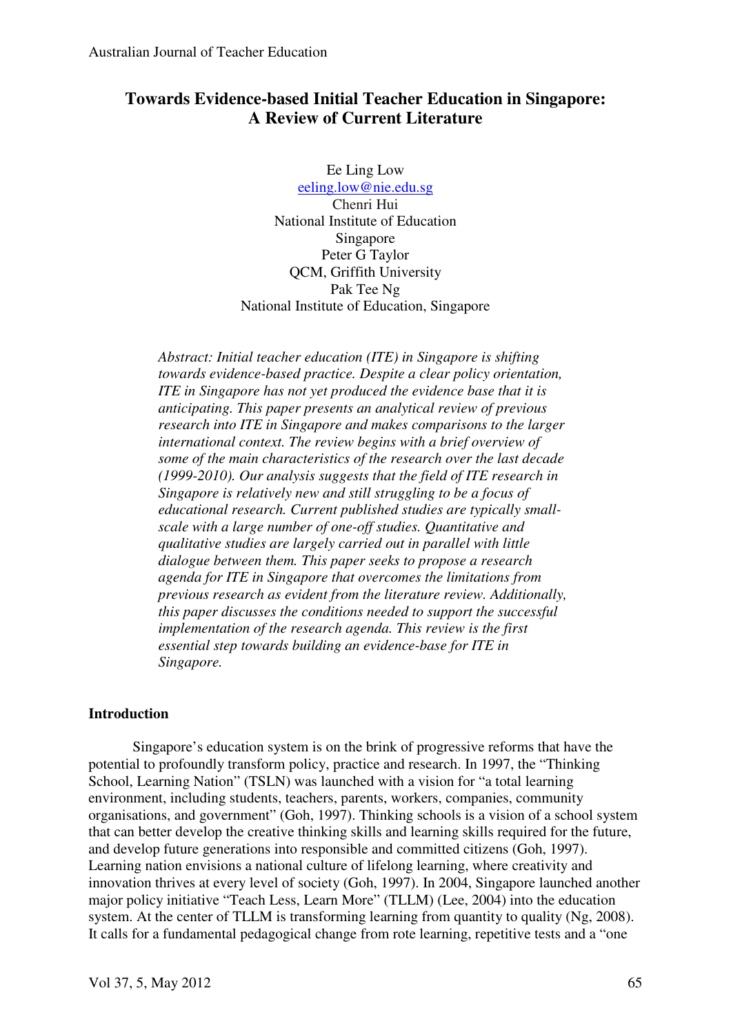## **Towards Evidence-based Initial Teacher Education in Singapore: A Review of Current Literature**

Ee Ling Low eeling.low@nie.edu.sg Chenri Hui National Institute of Education Singapore Peter G Taylor QCM, Griffith University Pak Tee Ng National Institute of Education, Singapore

*Abstract: Initial teacher education (ITE) in Singapore is shifting towards evidence-based practice. Despite a clear policy orientation, ITE in Singapore has not yet produced the evidence base that it is anticipating. This paper presents an analytical review of previous research into ITE in Singapore and makes comparisons to the larger international context. The review begins with a brief overview of some of the main characteristics of the research over the last decade (1999-2010). Our analysis suggests that the field of ITE research in Singapore is relatively new and still struggling to be a focus of educational research. Current published studies are typically smallscale with a large number of one-off studies. Quantitative and qualitative studies are largely carried out in parallel with little dialogue between them. This paper seeks to propose a research agenda for ITE in Singapore that overcomes the limitations from previous research as evident from the literature review. Additionally, this paper discusses the conditions needed to support the successful implementation of the research agenda. This review is the first essential step towards building an evidence-base for ITE in Singapore.*

### **Introduction**

Singapore's education system is on the brink of progressive reforms that have the potential to profoundly transform policy, practice and research. In 1997, the "Thinking School, Learning Nation" (TSLN) was launched with a vision for "a total learning environment, including students, teachers, parents, workers, companies, community organisations, and government" (Goh, 1997). Thinking schools is a vision of a school system that can better develop the creative thinking skills and learning skills required for the future, and develop future generations into responsible and committed citizens (Goh, 1997). Learning nation envisions a national culture of lifelong learning, where creativity and innovation thrives at every level of society (Goh, 1997). In 2004, Singapore launched another major policy initiative "Teach Less, Learn More" (TLLM) (Lee, 2004) into the education system. At the center of TLLM is transforming learning from quantity to quality (Ng, 2008). It calls for a fundamental pedagogical change from rote learning, repetitive tests and a "one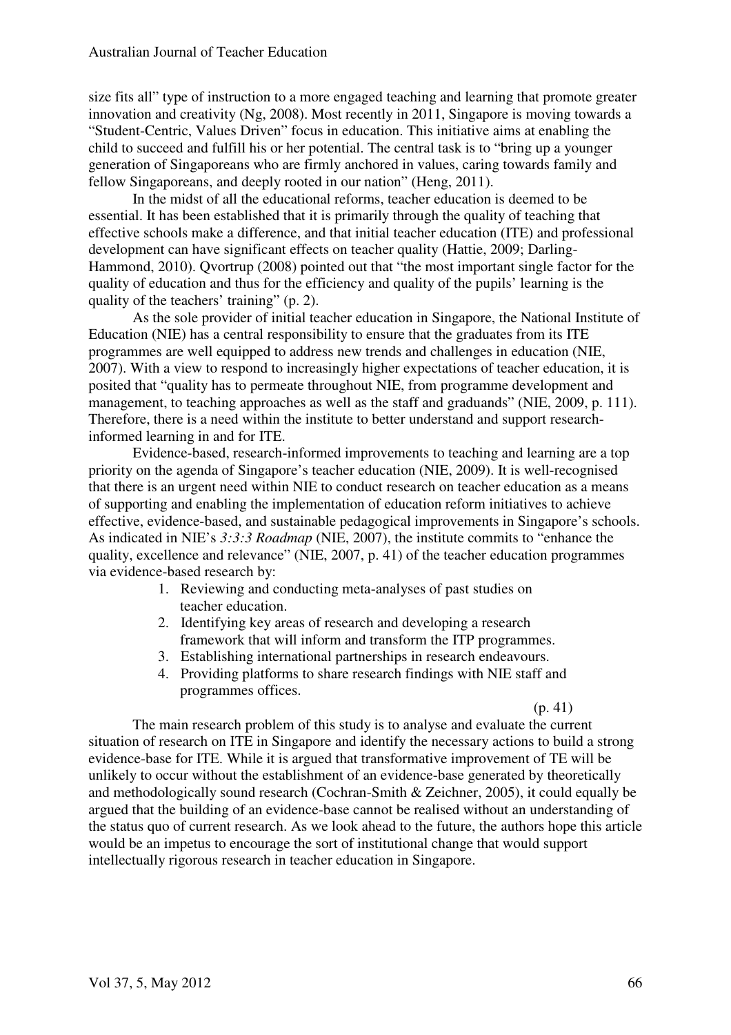size fits all" type of instruction to a more engaged teaching and learning that promote greater innovation and creativity (Ng, 2008). Most recently in 2011, Singapore is moving towards a "Student-Centric, Values Driven" focus in education. This initiative aims at enabling the child to succeed and fulfill his or her potential. The central task is to "bring up a younger generation of Singaporeans who are firmly anchored in values, caring towards family and fellow Singaporeans, and deeply rooted in our nation" (Heng, 2011).

 In the midst of all the educational reforms, teacher education is deemed to be essential. It has been established that it is primarily through the quality of teaching that effective schools make a difference, and that initial teacher education (ITE) and professional development can have significant effects on teacher quality (Hattie, 2009; Darling-Hammond, 2010). Qvortrup (2008) pointed out that "the most important single factor for the quality of education and thus for the efficiency and quality of the pupils' learning is the quality of the teachers' training" (p. 2).

 As the sole provider of initial teacher education in Singapore, the National Institute of Education (NIE) has a central responsibility to ensure that the graduates from its ITE programmes are well equipped to address new trends and challenges in education (NIE, 2007). With a view to respond to increasingly higher expectations of teacher education, it is posited that "quality has to permeate throughout NIE, from programme development and management, to teaching approaches as well as the staff and graduands" (NIE, 2009, p. 111). Therefore, there is a need within the institute to better understand and support researchinformed learning in and for ITE.

Evidence-based, research-informed improvements to teaching and learning are a top priority on the agenda of Singapore's teacher education (NIE, 2009). It is well-recognised that there is an urgent need within NIE to conduct research on teacher education as a means of supporting and enabling the implementation of education reform initiatives to achieve effective, evidence-based, and sustainable pedagogical improvements in Singapore's schools. As indicated in NIE's *3:3:3 Roadmap* (NIE, 2007), the institute commits to "enhance the quality, excellence and relevance" (NIE, 2007, p. 41) of the teacher education programmes via evidence-based research by:

- 1. Reviewing and conducting meta-analyses of past studies on teacher education.
- 2. Identifying key areas of research and developing a research framework that will inform and transform the ITP programmes.
- 3. Establishing international partnerships in research endeavours.
- 4. Providing platforms to share research findings with NIE staff and programmes offices.

#### $(p, 41)$

The main research problem of this study is to analyse and evaluate the current situation of research on ITE in Singapore and identify the necessary actions to build a strong evidence-base for ITE. While it is argued that transformative improvement of TE will be unlikely to occur without the establishment of an evidence-base generated by theoretically and methodologically sound research (Cochran-Smith & Zeichner, 2005), it could equally be argued that the building of an evidence-base cannot be realised without an understanding of the status quo of current research. As we look ahead to the future, the authors hope this article would be an impetus to encourage the sort of institutional change that would support intellectually rigorous research in teacher education in Singapore.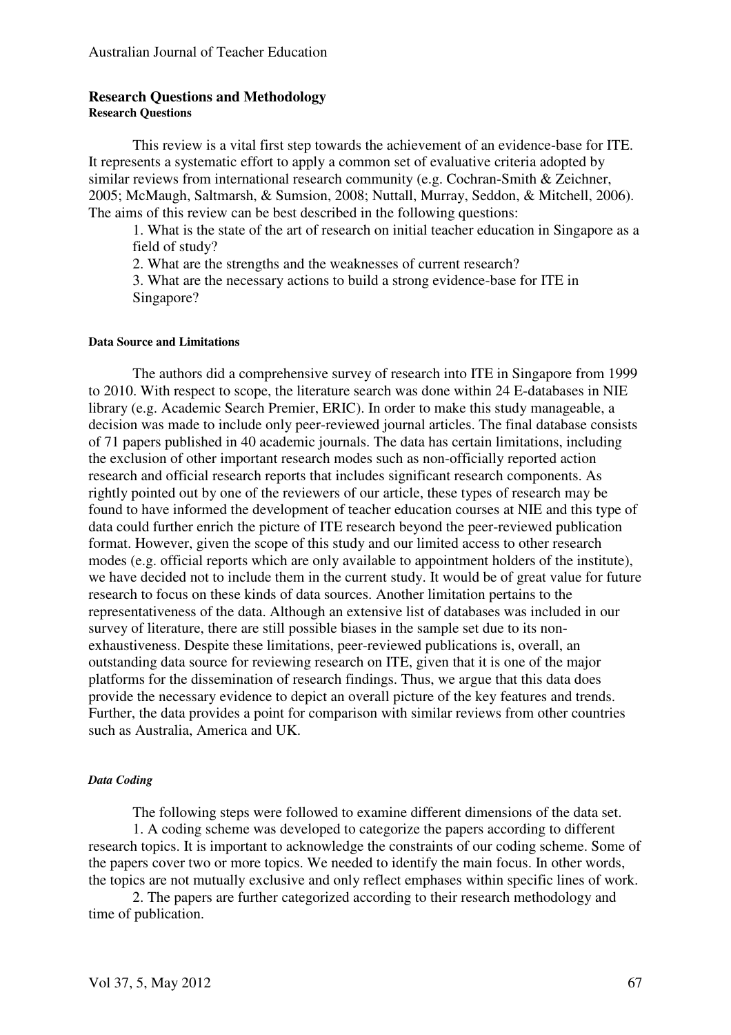#### **Research Questions and Methodology Research Questions**

This review is a vital first step towards the achievement of an evidence-base for ITE. It represents a systematic effort to apply a common set of evaluative criteria adopted by similar reviews from international research community (e.g. Cochran-Smith & Zeichner, 2005; McMaugh, Saltmarsh, & Sumsion, 2008; Nuttall, Murray, Seddon, & Mitchell, 2006). The aims of this review can be best described in the following questions:

1. What is the state of the art of research on initial teacher education in Singapore as a field of study?

2. What are the strengths and the weaknesses of current research?

3. What are the necessary actions to build a strong evidence-base for ITE in Singapore?

#### **Data Source and Limitations**

The authors did a comprehensive survey of research into ITE in Singapore from 1999 to 2010. With respect to scope, the literature search was done within 24 E-databases in NIE library (e.g. Academic Search Premier, ERIC). In order to make this study manageable, a decision was made to include only peer-reviewed journal articles. The final database consists of 71 papers published in 40 academic journals. The data has certain limitations, including the exclusion of other important research modes such as non-officially reported action research and official research reports that includes significant research components. As rightly pointed out by one of the reviewers of our article, these types of research may be found to have informed the development of teacher education courses at NIE and this type of data could further enrich the picture of ITE research beyond the peer-reviewed publication format. However, given the scope of this study and our limited access to other research modes (e.g. official reports which are only available to appointment holders of the institute), we have decided not to include them in the current study. It would be of great value for future research to focus on these kinds of data sources. Another limitation pertains to the representativeness of the data. Although an extensive list of databases was included in our survey of literature, there are still possible biases in the sample set due to its nonexhaustiveness. Despite these limitations, peer-reviewed publications is, overall, an outstanding data source for reviewing research on ITE, given that it is one of the major platforms for the dissemination of research findings. Thus, we argue that this data does provide the necessary evidence to depict an overall picture of the key features and trends. Further, the data provides a point for comparison with similar reviews from other countries such as Australia, America and UK.

#### *Data Coding*

The following steps were followed to examine different dimensions of the data set. 1. A coding scheme was developed to categorize the papers according to different research topics. It is important to acknowledge the constraints of our coding scheme. Some of the papers cover two or more topics. We needed to identify the main focus. In other words, the topics are not mutually exclusive and only reflect emphases within specific lines of work.

2. The papers are further categorized according to their research methodology and time of publication.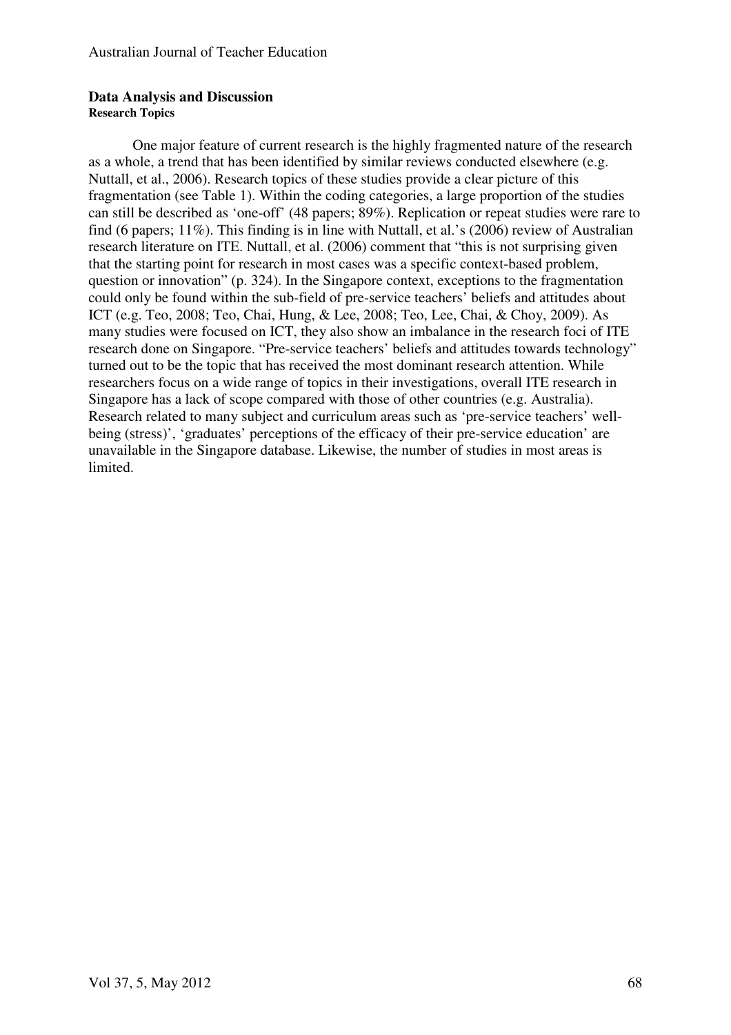#### **Data Analysis and Discussion Research Topics**

One major feature of current research is the highly fragmented nature of the research as a whole, a trend that has been identified by similar reviews conducted elsewhere (e.g. Nuttall, et al., 2006). Research topics of these studies provide a clear picture of this fragmentation (see Table 1). Within the coding categories, a large proportion of the studies can still be described as 'one-off' (48 papers; 89%). Replication or repeat studies were rare to find (6 papers; 11%). This finding is in line with Nuttall, et al.'s (2006) review of Australian research literature on ITE. Nuttall, et al. (2006) comment that "this is not surprising given that the starting point for research in most cases was a specific context-based problem, question or innovation" (p. 324). In the Singapore context, exceptions to the fragmentation could only be found within the sub-field of pre-service teachers' beliefs and attitudes about ICT (e.g. Teo, 2008; Teo, Chai, Hung, & Lee, 2008; Teo, Lee, Chai, & Choy, 2009). As many studies were focused on ICT, they also show an imbalance in the research foci of ITE research done on Singapore. "Pre-service teachers' beliefs and attitudes towards technology" turned out to be the topic that has received the most dominant research attention. While researchers focus on a wide range of topics in their investigations, overall ITE research in Singapore has a lack of scope compared with those of other countries (e.g. Australia). Research related to many subject and curriculum areas such as 'pre-service teachers' wellbeing (stress)', 'graduates' perceptions of the efficacy of their pre-service education' are unavailable in the Singapore database. Likewise, the number of studies in most areas is limited.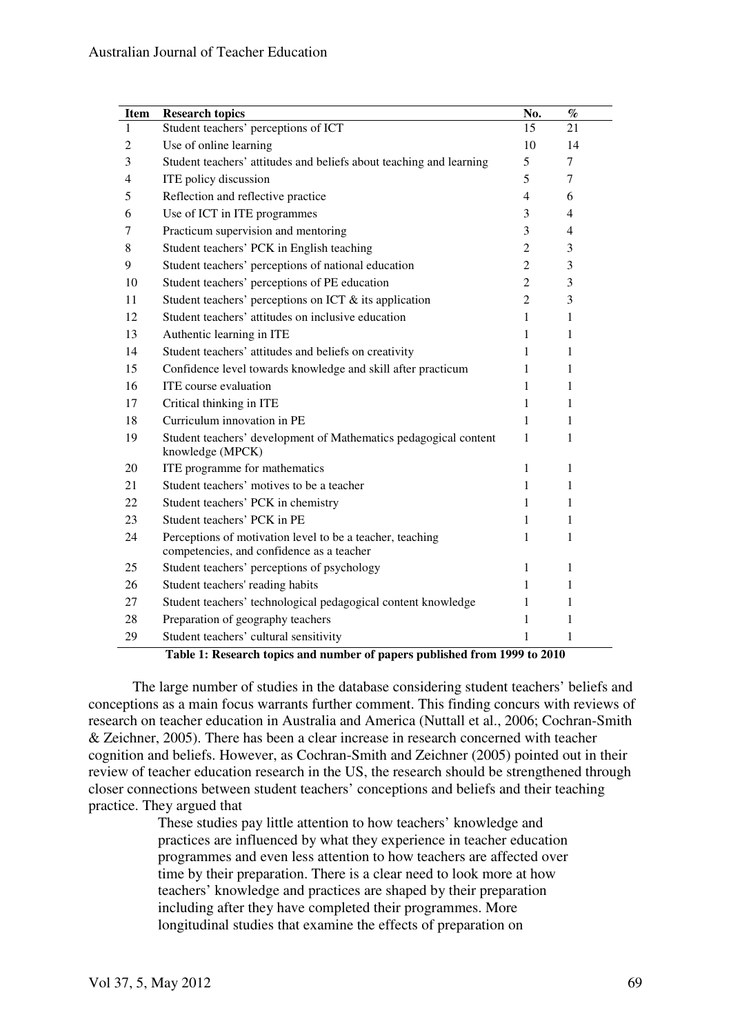| <b>Item</b>    | <b>Research topics</b>                                                                                 | No.            | $\%$           |
|----------------|--------------------------------------------------------------------------------------------------------|----------------|----------------|
| 1              | Student teachers' perceptions of ICT                                                                   | 15             | 21             |
| $\overline{2}$ | Use of online learning                                                                                 | 10             | 14             |
| 3              | Student teachers' attitudes and beliefs about teaching and learning                                    | 5              | $\tau$         |
| $\overline{4}$ | ITE policy discussion                                                                                  | 5              | 7              |
| 5              | Reflection and reflective practice                                                                     | 4              | 6              |
| 6              | Use of ICT in ITE programmes                                                                           | 3              | $\overline{4}$ |
| 7              | Practicum supervision and mentoring                                                                    | 3              | 4              |
| 8              | Student teachers' PCK in English teaching                                                              | $\overline{c}$ | 3              |
| 9              | Student teachers' perceptions of national education                                                    | $\overline{2}$ | 3              |
| 10             | Student teachers' perceptions of PE education                                                          | $\overline{2}$ | 3              |
| 11             | Student teachers' perceptions on ICT $\&$ its application                                              | $\overline{2}$ | 3              |
| 12             | Student teachers' attitudes on inclusive education                                                     | 1              | 1              |
| 13             | Authentic learning in ITE                                                                              | 1              | 1              |
| 14             | Student teachers' attitudes and beliefs on creativity                                                  | 1              | 1              |
| 15             | Confidence level towards knowledge and skill after practicum                                           | 1              | 1              |
| 16             | ITE course evaluation                                                                                  | 1              | 1              |
| 17             | Critical thinking in ITE                                                                               | 1              | 1              |
| 18             | Curriculum innovation in PE                                                                            | 1              | 1              |
| 19             | Student teachers' development of Mathematics pedagogical content<br>knowledge (MPCK)                   | $\mathbf{1}$   | 1              |
| 20             | ITE programme for mathematics                                                                          | $\mathbf{1}$   | 1              |
| 21             | Student teachers' motives to be a teacher                                                              | 1              | 1              |
| 22             | Student teachers' PCK in chemistry                                                                     | 1              | 1              |
| 23             | Student teachers' PCK in PE                                                                            | 1              | 1              |
| 24             | Perceptions of motivation level to be a teacher, teaching<br>competencies, and confidence as a teacher | 1              | 1              |
| 25             | Student teachers' perceptions of psychology                                                            | 1              | 1              |
| 26             | Student teachers' reading habits                                                                       | 1              | 1              |
| 27             | Student teachers' technological pedagogical content knowledge                                          | 1              | 1              |
| 28             | Preparation of geography teachers                                                                      | 1              | 1              |
| 29             | Student teachers' cultural sensitivity                                                                 | 1              | 1              |

**Table 1: Research topics and number of papers published from 1999 to 2010** 

The large number of studies in the database considering student teachers' beliefs and conceptions as a main focus warrants further comment. This finding concurs with reviews of research on teacher education in Australia and America (Nuttall et al., 2006; Cochran-Smith & Zeichner, 2005). There has been a clear increase in research concerned with teacher cognition and beliefs. However, as Cochran-Smith and Zeichner (2005) pointed out in their review of teacher education research in the US, the research should be strengthened through closer connections between student teachers' conceptions and beliefs and their teaching practice. They argued that

These studies pay little attention to how teachers' knowledge and practices are influenced by what they experience in teacher education programmes and even less attention to how teachers are affected over time by their preparation. There is a clear need to look more at how teachers' knowledge and practices are shaped by their preparation including after they have completed their programmes. More longitudinal studies that examine the effects of preparation on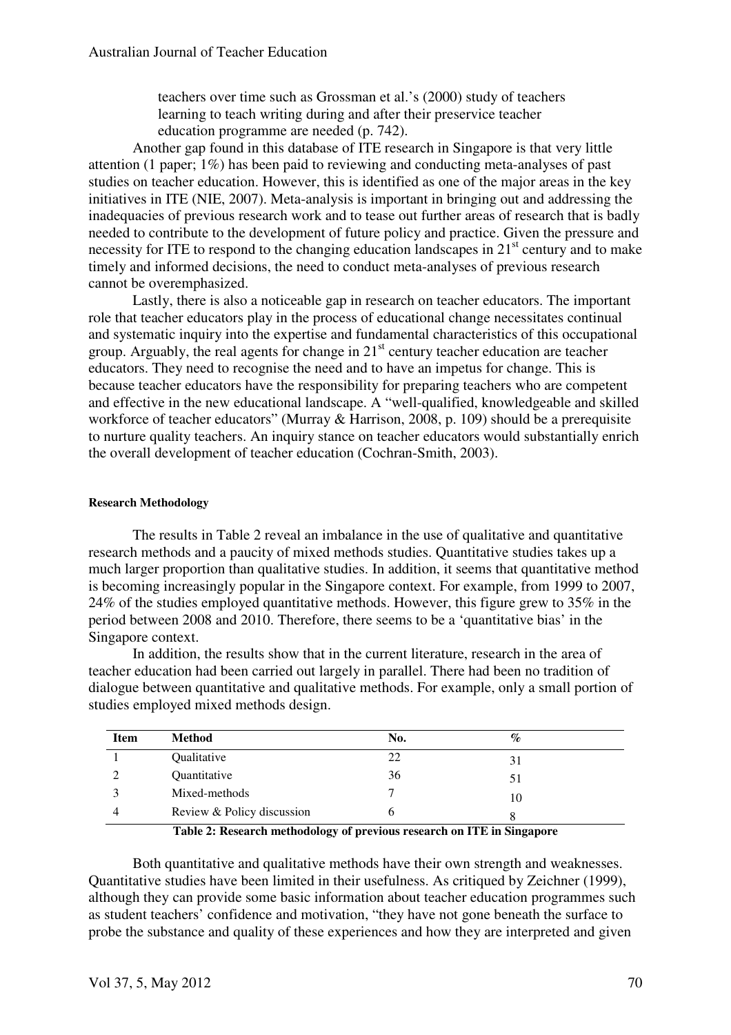teachers over time such as Grossman et al.'s (2000) study of teachers learning to teach writing during and after their preservice teacher education programme are needed (p. 742).

Another gap found in this database of ITE research in Singapore is that very little attention (1 paper; 1%) has been paid to reviewing and conducting meta-analyses of past studies on teacher education. However, this is identified as one of the major areas in the key initiatives in ITE (NIE, 2007). Meta-analysis is important in bringing out and addressing the inadequacies of previous research work and to tease out further areas of research that is badly needed to contribute to the development of future policy and practice. Given the pressure and necessity for ITE to respond to the changing education landscapes in  $21<sup>st</sup>$  century and to make timely and informed decisions, the need to conduct meta-analyses of previous research cannot be overemphasized.

Lastly, there is also a noticeable gap in research on teacher educators. The important role that teacher educators play in the process of educational change necessitates continual and systematic inquiry into the expertise and fundamental characteristics of this occupational group. Arguably, the real agents for change in  $21<sup>st</sup>$  century teacher education are teacher educators. They need to recognise the need and to have an impetus for change. This is because teacher educators have the responsibility for preparing teachers who are competent and effective in the new educational landscape. A "well-qualified, knowledgeable and skilled workforce of teacher educators" (Murray & Harrison, 2008, p. 109) should be a prerequisite to nurture quality teachers. An inquiry stance on teacher educators would substantially enrich the overall development of teacher education (Cochran-Smith, 2003).

#### **Research Methodology**

The results in Table 2 reveal an imbalance in the use of qualitative and quantitative research methods and a paucity of mixed methods studies. Quantitative studies takes up a much larger proportion than qualitative studies. In addition, it seems that quantitative method is becoming increasingly popular in the Singapore context. For example, from 1999 to 2007, 24% of the studies employed quantitative methods. However, this figure grew to 35% in the period between 2008 and 2010. Therefore, there seems to be a 'quantitative bias' in the Singapore context.

 In addition, the results show that in the current literature, research in the area of teacher education had been carried out largely in parallel. There had been no tradition of dialogue between quantitative and qualitative methods. For example, only a small portion of studies employed mixed methods design.

| <b>Item</b> | Method                     | No. | $\%$ |  |
|-------------|----------------------------|-----|------|--|
|             | Qualitative                | 22  | 31   |  |
|             | Quantitative               | 36  | 51   |  |
|             | Mixed-methods              |     | 10   |  |
|             | Review & Policy discussion |     |      |  |

**Table 2: Research methodology of previous research on ITE in Singapore**

Both quantitative and qualitative methods have their own strength and weaknesses. Quantitative studies have been limited in their usefulness. As critiqued by Zeichner (1999), although they can provide some basic information about teacher education programmes such as student teachers' confidence and motivation, "they have not gone beneath the surface to probe the substance and quality of these experiences and how they are interpreted and given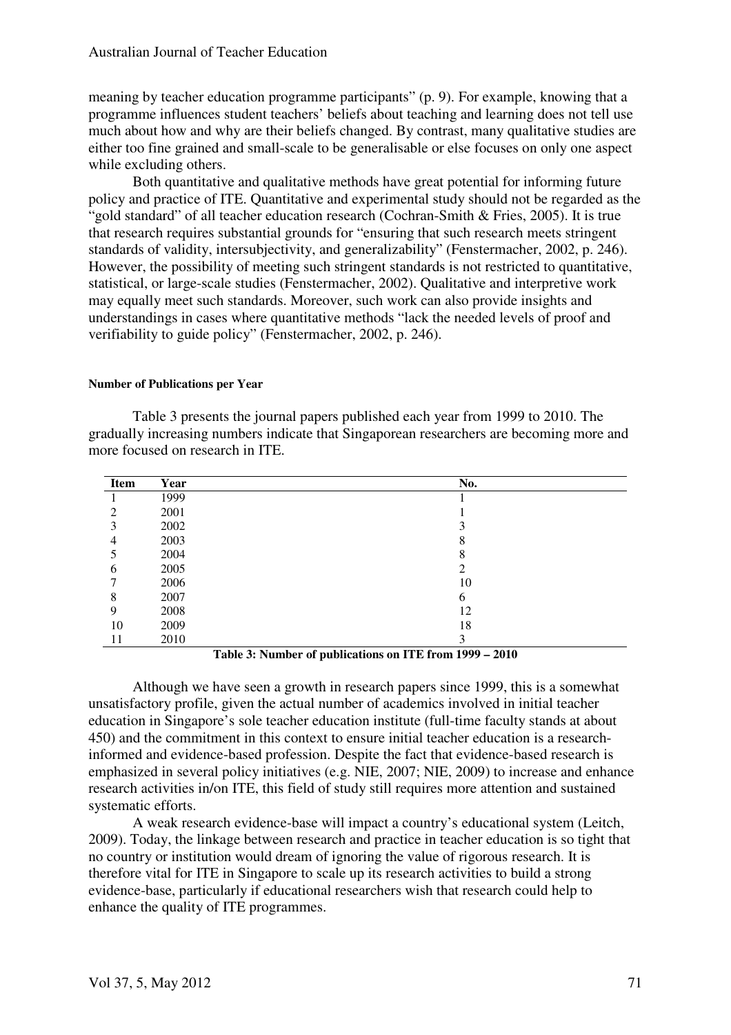meaning by teacher education programme participants" (p. 9). For example, knowing that a programme influences student teachers' beliefs about teaching and learning does not tell use much about how and why are their beliefs changed. By contrast, many qualitative studies are either too fine grained and small-scale to be generalisable or else focuses on only one aspect while excluding others.

 Both quantitative and qualitative methods have great potential for informing future policy and practice of ITE. Quantitative and experimental study should not be regarded as the "gold standard" of all teacher education research (Cochran-Smith & Fries, 2005). It is true that research requires substantial grounds for "ensuring that such research meets stringent standards of validity, intersubjectivity, and generalizability" (Fenstermacher, 2002, p. 246). However, the possibility of meeting such stringent standards is not restricted to quantitative, statistical, or large-scale studies (Fenstermacher, 2002). Qualitative and interpretive work may equally meet such standards. Moreover, such work can also provide insights and understandings in cases where quantitative methods "lack the needed levels of proof and verifiability to guide policy" (Fenstermacher, 2002, p. 246).

#### **Number of Publications per Year**

Table 3 presents the journal papers published each year from 1999 to 2010. The gradually increasing numbers indicate that Singaporean researchers are becoming more and more focused on research in ITE.

| Item | Year | No.    |
|------|------|--------|
|      | 1999 |        |
| 2    | 2001 |        |
| 3    | 2002 | 3      |
| 4    | 2003 | 8      |
| 5    | 2004 | 8      |
| 6    | 2005 | ∍<br>∠ |
|      | 2006 | 10     |
| 8    | 2007 | 6      |
| 9    | 2008 | 12     |
| 10   | 2009 | 18     |
| 11   | 2010 | 3      |

**Table 3: Number of publications on ITE from 1999 – 2010**

Although we have seen a growth in research papers since 1999, this is a somewhat unsatisfactory profile, given the actual number of academics involved in initial teacher education in Singapore's sole teacher education institute (full-time faculty stands at about 450) and the commitment in this context to ensure initial teacher education is a researchinformed and evidence-based profession. Despite the fact that evidence-based research is emphasized in several policy initiatives (e.g. NIE, 2007; NIE, 2009) to increase and enhance research activities in/on ITE, this field of study still requires more attention and sustained systematic efforts.

A weak research evidence-base will impact a country's educational system (Leitch, 2009). Today, the linkage between research and practice in teacher education is so tight that no country or institution would dream of ignoring the value of rigorous research. It is therefore vital for ITE in Singapore to scale up its research activities to build a strong evidence-base, particularly if educational researchers wish that research could help to enhance the quality of ITE programmes.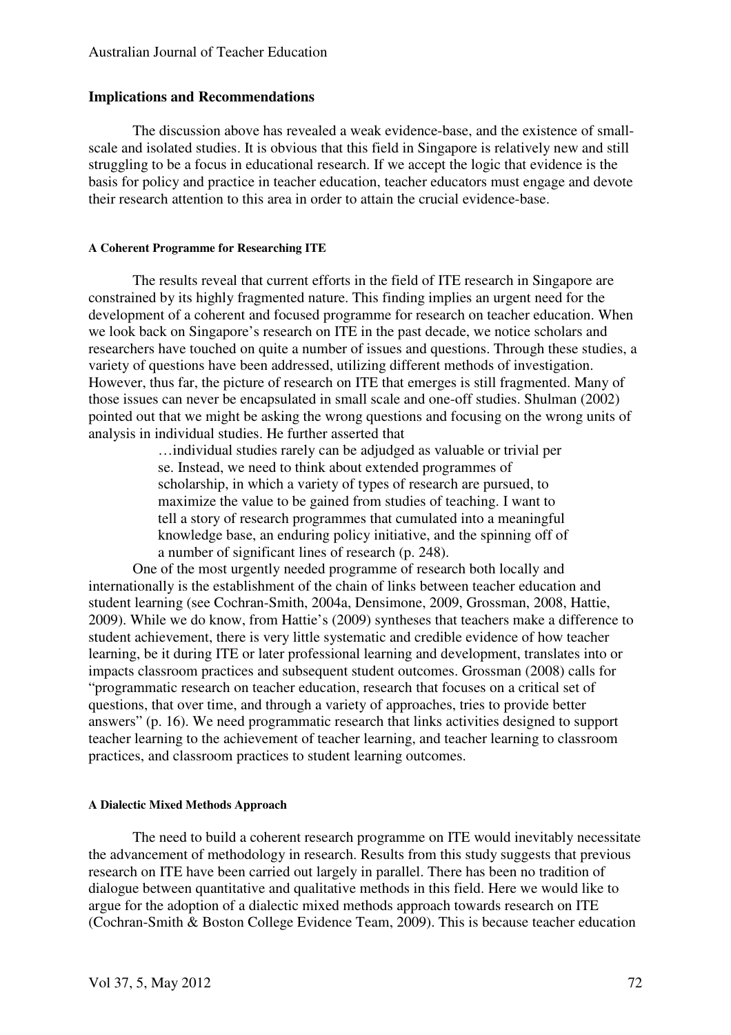#### **Implications and Recommendations**

The discussion above has revealed a weak evidence-base, and the existence of smallscale and isolated studies. It is obvious that this field in Singapore is relatively new and still struggling to be a focus in educational research. If we accept the logic that evidence is the basis for policy and practice in teacher education, teacher educators must engage and devote their research attention to this area in order to attain the crucial evidence-base.

#### **A Coherent Programme for Researching ITE**

The results reveal that current efforts in the field of ITE research in Singapore are constrained by its highly fragmented nature. This finding implies an urgent need for the development of a coherent and focused programme for research on teacher education. When we look back on Singapore's research on ITE in the past decade, we notice scholars and researchers have touched on quite a number of issues and questions. Through these studies, a variety of questions have been addressed, utilizing different methods of investigation. However, thus far, the picture of research on ITE that emerges is still fragmented. Many of those issues can never be encapsulated in small scale and one-off studies. Shulman (2002) pointed out that we might be asking the wrong questions and focusing on the wrong units of analysis in individual studies. He further asserted that

…individual studies rarely can be adjudged as valuable or trivial per se. Instead, we need to think about extended programmes of scholarship, in which a variety of types of research are pursued, to maximize the value to be gained from studies of teaching. I want to tell a story of research programmes that cumulated into a meaningful knowledge base, an enduring policy initiative, and the spinning off of a number of significant lines of research (p. 248).

One of the most urgently needed programme of research both locally and internationally is the establishment of the chain of links between teacher education and student learning (see Cochran-Smith, 2004a, Densimone, 2009, Grossman, 2008, Hattie, 2009). While we do know, from Hattie's (2009) syntheses that teachers make a difference to student achievement, there is very little systematic and credible evidence of how teacher learning, be it during ITE or later professional learning and development, translates into or impacts classroom practices and subsequent student outcomes. Grossman (2008) calls for "programmatic research on teacher education, research that focuses on a critical set of questions, that over time, and through a variety of approaches, tries to provide better answers" (p. 16). We need programmatic research that links activities designed to support teacher learning to the achievement of teacher learning, and teacher learning to classroom practices, and classroom practices to student learning outcomes.

#### **A Dialectic Mixed Methods Approach**

The need to build a coherent research programme on ITE would inevitably necessitate the advancement of methodology in research. Results from this study suggests that previous research on ITE have been carried out largely in parallel. There has been no tradition of dialogue between quantitative and qualitative methods in this field. Here we would like to argue for the adoption of a dialectic mixed methods approach towards research on ITE (Cochran-Smith & Boston College Evidence Team, 2009). This is because teacher education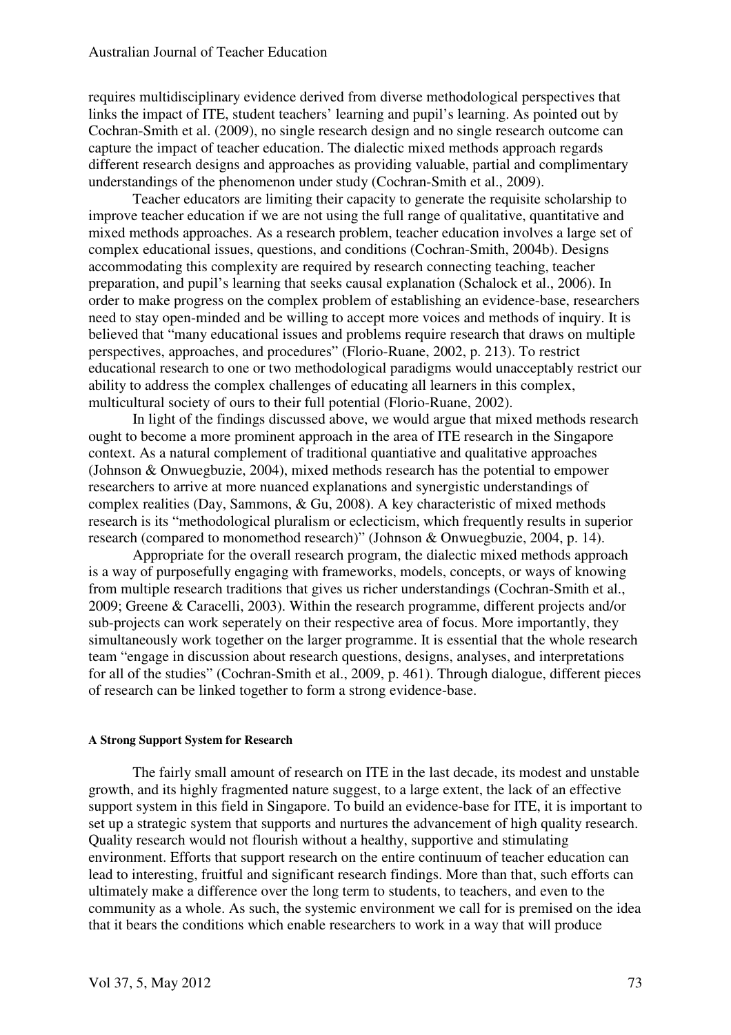requires multidisciplinary evidence derived from diverse methodological perspectives that links the impact of ITE, student teachers' learning and pupil's learning. As pointed out by Cochran-Smith et al. (2009), no single research design and no single research outcome can capture the impact of teacher education. The dialectic mixed methods approach regards different research designs and approaches as providing valuable, partial and complimentary understandings of the phenomenon under study (Cochran-Smith et al., 2009).

Teacher educators are limiting their capacity to generate the requisite scholarship to improve teacher education if we are not using the full range of qualitative, quantitative and mixed methods approaches. As a research problem, teacher education involves a large set of complex educational issues, questions, and conditions (Cochran-Smith, 2004b). Designs accommodating this complexity are required by research connecting teaching, teacher preparation, and pupil's learning that seeks causal explanation (Schalock et al., 2006). In order to make progress on the complex problem of establishing an evidence-base, researchers need to stay open-minded and be willing to accept more voices and methods of inquiry. It is believed that "many educational issues and problems require research that draws on multiple perspectives, approaches, and procedures" (Florio-Ruane, 2002, p. 213). To restrict educational research to one or two methodological paradigms would unacceptably restrict our ability to address the complex challenges of educating all learners in this complex, multicultural society of ours to their full potential (Florio-Ruane, 2002).

In light of the findings discussed above, we would argue that mixed methods research ought to become a more prominent approach in the area of ITE research in the Singapore context. As a natural complement of traditional quantiative and qualitative approaches (Johnson & Onwuegbuzie, 2004), mixed methods research has the potential to empower researchers to arrive at more nuanced explanations and synergistic understandings of complex realities (Day, Sammons, & Gu, 2008). A key characteristic of mixed methods research is its "methodological pluralism or eclecticism, which frequently results in superior research (compared to monomethod research)" (Johnson & Onwuegbuzie, 2004, p. 14).

Appropriate for the overall research program, the dialectic mixed methods approach is a way of purposefully engaging with frameworks, models, concepts, or ways of knowing from multiple research traditions that gives us richer understandings (Cochran-Smith et al., 2009; Greene & Caracelli, 2003). Within the research programme, different projects and/or sub-projects can work seperately on their respective area of focus. More importantly, they simultaneously work together on the larger programme. It is essential that the whole research team "engage in discussion about research questions, designs, analyses, and interpretations for all of the studies" (Cochran-Smith et al., 2009, p. 461). Through dialogue, different pieces of research can be linked together to form a strong evidence-base.

#### **A Strong Support System for Research**

The fairly small amount of research on ITE in the last decade, its modest and unstable growth, and its highly fragmented nature suggest, to a large extent, the lack of an effective support system in this field in Singapore. To build an evidence-base for ITE, it is important to set up a strategic system that supports and nurtures the advancement of high quality research. Quality research would not flourish without a healthy, supportive and stimulating environment. Efforts that support research on the entire continuum of teacher education can lead to interesting, fruitful and significant research findings. More than that, such efforts can ultimately make a difference over the long term to students, to teachers, and even to the community as a whole. As such, the systemic environment we call for is premised on the idea that it bears the conditions which enable researchers to work in a way that will produce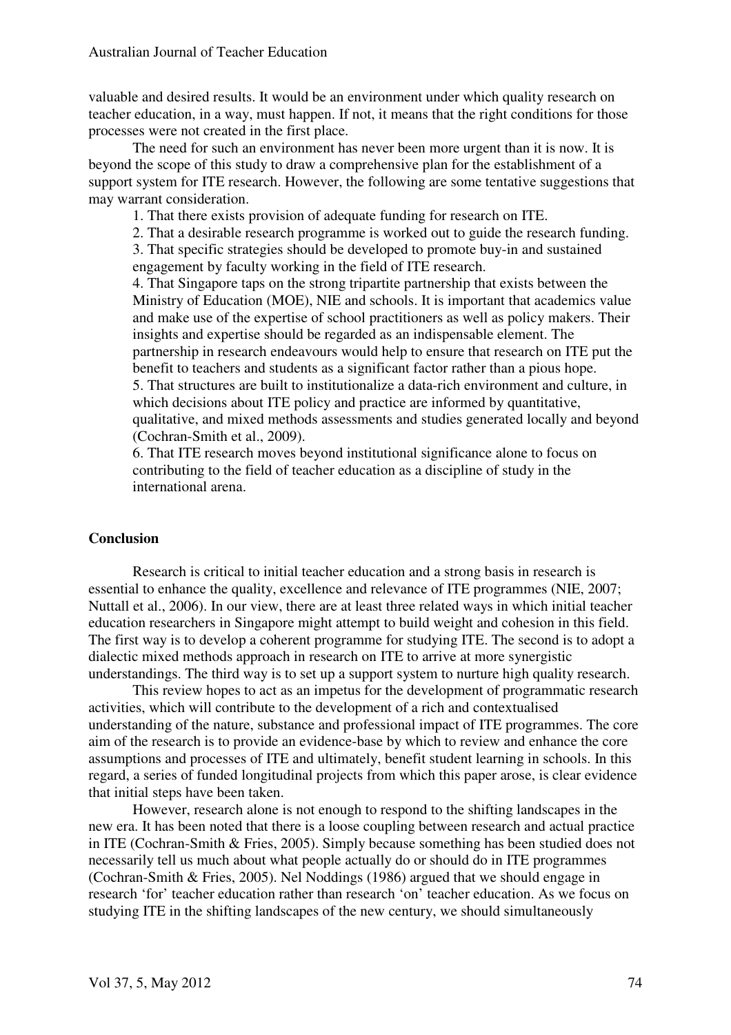valuable and desired results. It would be an environment under which quality research on teacher education, in a way, must happen. If not, it means that the right conditions for those processes were not created in the first place.

The need for such an environment has never been more urgent than it is now. It is beyond the scope of this study to draw a comprehensive plan for the establishment of a support system for ITE research. However, the following are some tentative suggestions that may warrant consideration.

1. That there exists provision of adequate funding for research on ITE.

2. That a desirable research programme is worked out to guide the research funding.

3. That specific strategies should be developed to promote buy-in and sustained engagement by faculty working in the field of ITE research.

4. That Singapore taps on the strong tripartite partnership that exists between the Ministry of Education (MOE), NIE and schools. It is important that academics value and make use of the expertise of school practitioners as well as policy makers. Their insights and expertise should be regarded as an indispensable element. The partnership in research endeavours would help to ensure that research on ITE put the benefit to teachers and students as a significant factor rather than a pious hope. 5. That structures are built to institutionalize a data-rich environment and culture, in which decisions about ITE policy and practice are informed by quantitative, qualitative, and mixed methods assessments and studies generated locally and beyond (Cochran-Smith et al., 2009).

6. That ITE research moves beyond institutional significance alone to focus on contributing to the field of teacher education as a discipline of study in the international arena.

#### **Conclusion**

Research is critical to initial teacher education and a strong basis in research is essential to enhance the quality, excellence and relevance of ITE programmes (NIE, 2007; Nuttall et al., 2006). In our view, there are at least three related ways in which initial teacher education researchers in Singapore might attempt to build weight and cohesion in this field. The first way is to develop a coherent programme for studying ITE. The second is to adopt a dialectic mixed methods approach in research on ITE to arrive at more synergistic understandings. The third way is to set up a support system to nurture high quality research.

This review hopes to act as an impetus for the development of programmatic research activities, which will contribute to the development of a rich and contextualised understanding of the nature, substance and professional impact of ITE programmes. The core aim of the research is to provide an evidence-base by which to review and enhance the core assumptions and processes of ITE and ultimately, benefit student learning in schools. In this regard, a series of funded longitudinal projects from which this paper arose, is clear evidence that initial steps have been taken.

However, research alone is not enough to respond to the shifting landscapes in the new era. It has been noted that there is a loose coupling between research and actual practice in ITE (Cochran-Smith & Fries, 2005). Simply because something has been studied does not necessarily tell us much about what people actually do or should do in ITE programmes (Cochran-Smith & Fries, 2005). Nel Noddings (1986) argued that we should engage in research 'for' teacher education rather than research 'on' teacher education. As we focus on studying ITE in the shifting landscapes of the new century, we should simultaneously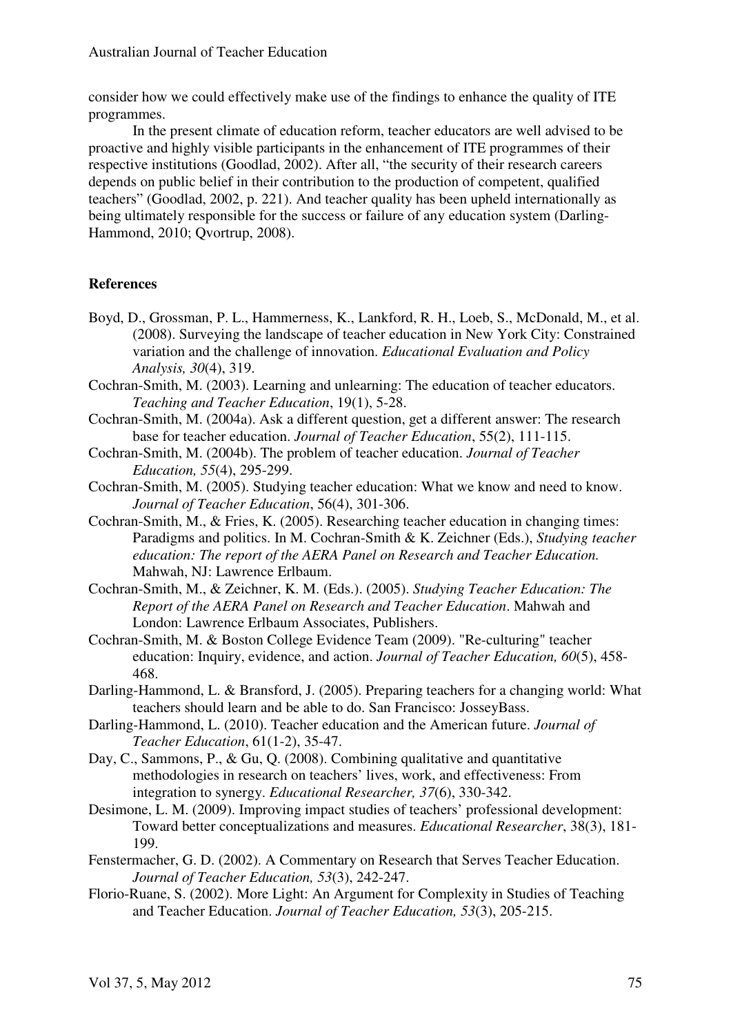consider how we could effectively make use of the findings to enhance the quality of ITE programmes.

In the present climate of education reform, teacher educators are well advised to be proactive and highly visible participants in the enhancement of ITE programmes of their respective institutions (Goodlad, 2002). After all, "the security of their research careers depends on public belief in their contribution to the production of competent, qualified teachers" (Goodlad, 2002, p. 221). And teacher quality has been upheld internationally as being ultimately responsible for the success or failure of any education system (Darling-Hammond, 2010; Qvortrup, 2008).

#### **References**

- Boyd, D., Grossman, P. L., Hammerness, K., Lankford, R. H., Loeb, S., McDonald, M., et al. (2008). Surveying the landscape of teacher education in New York City: Constrained variation and the challenge of innovation. *Educational Evaluation and Policy Analysis, 30*(4), 319.
- Cochran-Smith, M. (2003). Learning and unlearning: The education of teacher educators. *Teaching and Teacher Education*, 19(1), 5-28.
- Cochran-Smith, M. (2004a). Ask a different question, get a different answer: The research base for teacher education. *Journal of Teacher Education*, 55(2), 111-115.
- Cochran-Smith, M. (2004b). The problem of teacher education. *Journal of Teacher Education, 55*(4), 295-299.
- Cochran-Smith, M. (2005). Studying teacher education: What we know and need to know. *Journal of Teacher Education*, 56(4), 301-306.
- Cochran-Smith, M., & Fries, K. (2005). Researching teacher education in changing times: Paradigms and politics. In M. Cochran-Smith & K. Zeichner (Eds.), *Studying teacher education: The report of the AERA Panel on Research and Teacher Education.*  Mahwah, NJ: Lawrence Erlbaum.
- Cochran-Smith, M., & Zeichner, K. M. (Eds.). (2005). *Studying Teacher Education: The Report of the AERA Panel on Research and Teacher Education*. Mahwah and London: Lawrence Erlbaum Associates, Publishers.
- Cochran-Smith, M. & Boston College Evidence Team (2009). "Re-culturing" teacher education: Inquiry, evidence, and action. *Journal of Teacher Education, 60*(5), 458- 468.
- Darling-Hammond, L. & Bransford, J. (2005). Preparing teachers for a changing world: What teachers should learn and be able to do. San Francisco: JosseyBass.
- Darling-Hammond, L. (2010). Teacher education and the American future. *Journal of Teacher Education*, 61(1-2), 35-47.
- Day, C., Sammons, P., & Gu, Q. (2008). Combining qualitative and quantitative methodologies in research on teachers' lives, work, and effectiveness: From integration to synergy. *Educational Researcher, 37*(6), 330-342.
- Desimone, L. M. (2009). Improving impact studies of teachers' professional development: Toward better conceptualizations and measures. *Educational Researcher*, 38(3), 181- 199.
- Fenstermacher, G. D. (2002). A Commentary on Research that Serves Teacher Education. *Journal of Teacher Education, 53*(3), 242-247.
- Florio-Ruane, S. (2002). More Light: An Argument for Complexity in Studies of Teaching and Teacher Education. *Journal of Teacher Education, 53*(3), 205-215.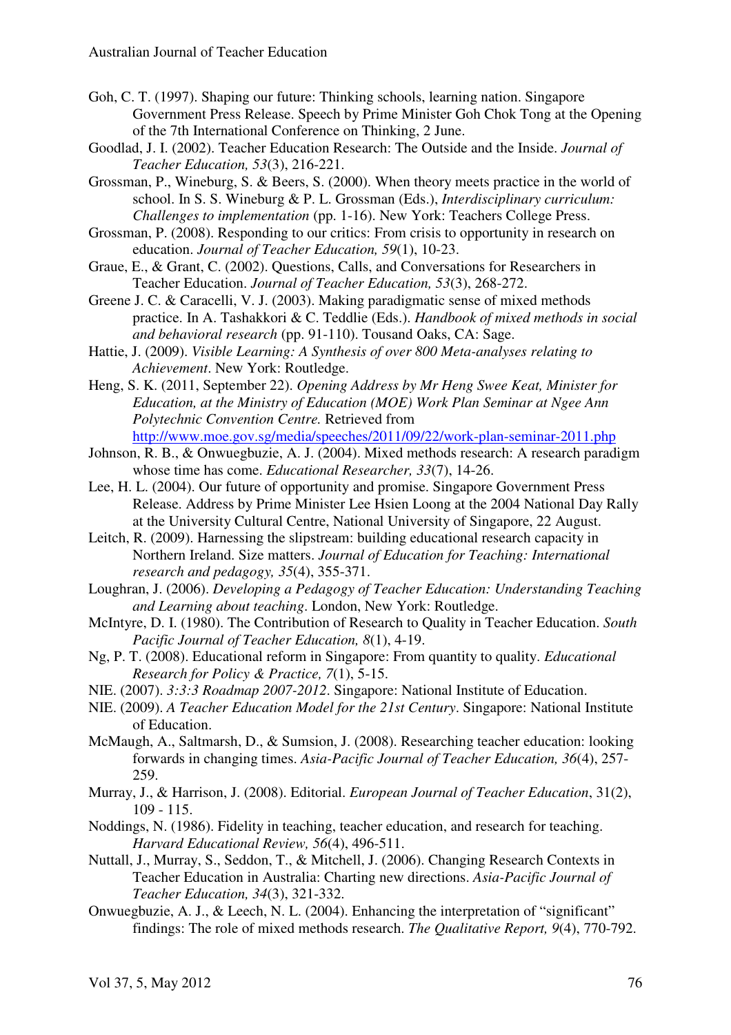- Goh, C. T. (1997). Shaping our future: Thinking schools, learning nation. Singapore Government Press Release. Speech by Prime Minister Goh Chok Tong at the Opening of the 7th International Conference on Thinking, 2 June.
- Goodlad, J. I. (2002). Teacher Education Research: The Outside and the Inside. *Journal of Teacher Education, 53*(3), 216-221.
- Grossman, P., Wineburg, S. & Beers, S. (2000). When theory meets practice in the world of school. In S. S. Wineburg & P. L. Grossman (Eds.), *Interdisciplinary curriculum: Challenges to implementation* (pp. 1-16). New York: Teachers College Press.
- Grossman, P. (2008). Responding to our critics: From crisis to opportunity in research on education. *Journal of Teacher Education, 59*(1), 10-23.
- Graue, E., & Grant, C. (2002). Questions, Calls, and Conversations for Researchers in Teacher Education. *Journal of Teacher Education, 53*(3), 268-272.
- Greene J. C. & Caracelli, V. J. (2003). Making paradigmatic sense of mixed methods practice. In A. Tashakkori & C. Teddlie (Eds.). *Handbook of mixed methods in social and behavioral research* (pp. 91-110). Tousand Oaks, CA: Sage.
- Hattie, J. (2009). *Visible Learning: A Synthesis of over 800 Meta-analyses relating to Achievement*. New York: Routledge.
- Heng, S. K. (2011, September 22). *Opening Address by Mr Heng Swee Keat, Minister for Education, at the Ministry of Education (MOE) Work Plan Seminar at Ngee Ann Polytechnic Convention Centre.* Retrieved from http://www.moe.gov.sg/media/speeches/2011/09/22/work-plan-seminar-2011.php
- Johnson, R. B., & Onwuegbuzie, A. J. (2004). Mixed methods research: A research paradigm whose time has come. *Educational Researcher, 33*(7), 14-26.
- Lee, H. L. (2004). Our future of opportunity and promise. Singapore Government Press Release. Address by Prime Minister Lee Hsien Loong at the 2004 National Day Rally at the University Cultural Centre, National University of Singapore, 22 August.
- Leitch, R. (2009). Harnessing the slipstream: building educational research capacity in Northern Ireland. Size matters. *Journal of Education for Teaching: International research and pedagogy, 35*(4), 355-371.
- Loughran, J. (2006). *Developing a Pedagogy of Teacher Education: Understanding Teaching and Learning about teaching*. London, New York: Routledge.
- McIntyre, D. I. (1980). The Contribution of Research to Quality in Teacher Education. *South Pacific Journal of Teacher Education, 8*(1), 4-19.
- Ng, P. T. (2008). Educational reform in Singapore: From quantity to quality. *Educational Research for Policy & Practice, 7*(1), 5-15.
- NIE. (2007). *3:3:3 Roadmap 2007-2012*. Singapore: National Institute of Education.
- NIE. (2009). *A Teacher Education Model for the 21st Century*. Singapore: National Institute of Education.
- McMaugh, A., Saltmarsh, D., & Sumsion, J. (2008). Researching teacher education: looking forwards in changing times. *Asia-Pacific Journal of Teacher Education, 36*(4), 257- 259.
- Murray, J., & Harrison, J. (2008). Editorial. *European Journal of Teacher Education*, 31(2), 109 - 115.
- Noddings, N. (1986). Fidelity in teaching, teacher education, and research for teaching. *Harvard Educational Review, 56*(4), 496-511.
- Nuttall, J., Murray, S., Seddon, T., & Mitchell, J. (2006). Changing Research Contexts in Teacher Education in Australia: Charting new directions. *Asia-Pacific Journal of Teacher Education, 34*(3), 321-332.
- Onwuegbuzie, A. J., & Leech, N. L. (2004). Enhancing the interpretation of "significant" findings: The role of mixed methods research. *The Qualitative Report, 9*(4), 770-792.